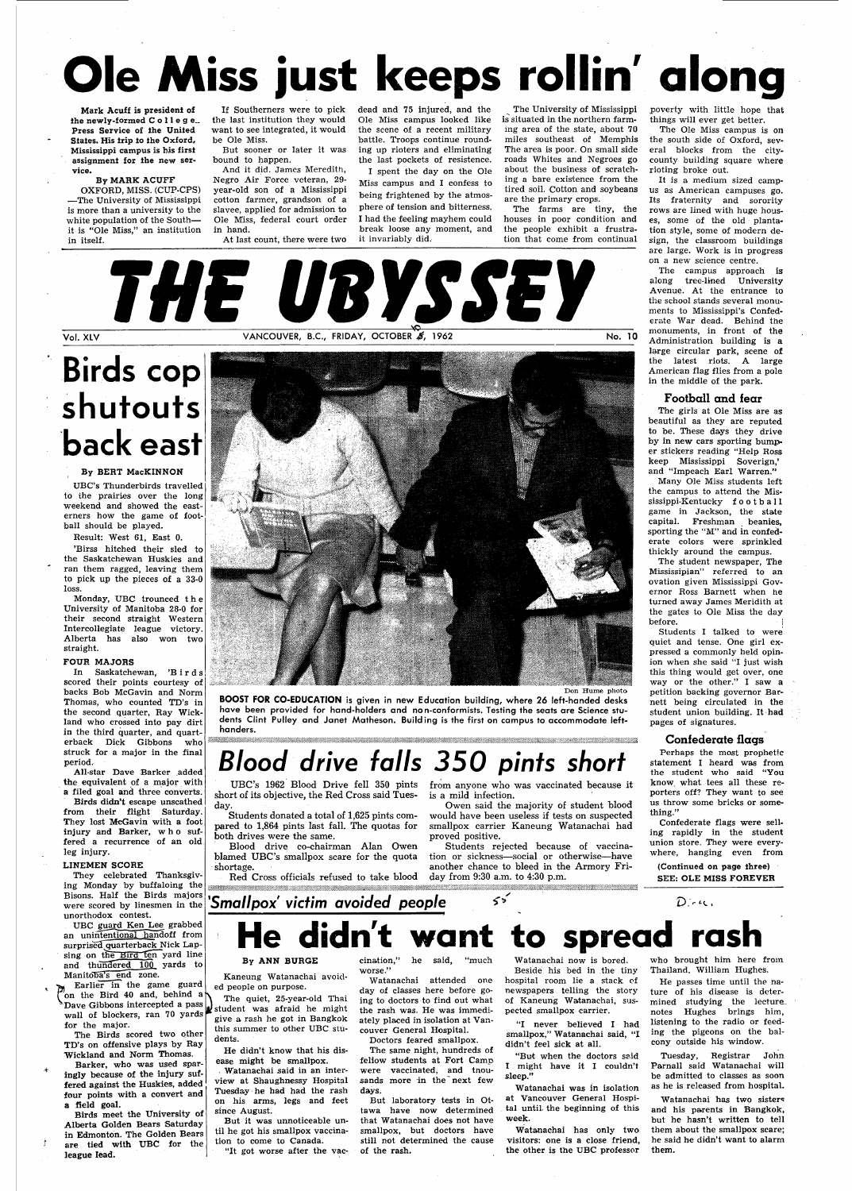# **Ole Miss just keeps rollin' along**

Mark Acuff is president of the newly-formed C o llege. Press Service of the United States. His trip to the Oxford, Mississippi campus is his first assignment for the new service.

By MARK ACUFF OXFORD, MISS. (CUP-CPS) —The University of Mississippi is more than a university to the white population of the South it is "Ole Miss," an institution in itself.

the last institution they would want to see integrated, it would be Ole Miss.

But sooner or later it was bound to happen.

And it did. James Meredith, Negro Air Force veteran, 29 year-old son of a Mississippi cotton farmer, grandson of a slavee, applied for admission to Ole Miss, federal court order in hand.

If Southerners were to pick dead and 75 injured, and the Ole Miss campus looked like the scene of a recent military battle. Troops continue rounding up rioters and eliminating the last pockets of resistence.

The University of Mississippi is situated in the northern farming area of the state, about 70 miles southeast of Memphis The area is poor. On small side roads Whites and Negroes go about the business of scratching a bare existence from the tired soil. Cotton and soybeans are the primary crops.

At last count, there were two

I spent the day on the Ole Miss campus and I confess to being frightened by the atmosphere of tension and bitterness. I had the feeling mayhem could break loose any moment, and it invariably did.

THE URYSSEY

Vol. XLV **VANCOUVER, B.C., FRIDAY, OCTOBER 4, 1962** No. 10

UBC guard Ken Lee grabbed an unintentional handoff from surprised quarterback Nick Lapsing on the Bird ten yard line and thundered 100 yards to Manitoba's end zone.

The farms are tiny, the houses in poor condition and the people exhibit a frustration that come from continual

Earlier in the game guard on the Bird 40 and, behind a  $\sum_{\alpha}$ Dave Gibbons intercepted a pass Dave Gibbons intercepted a pass  $\mu$  student was afraid he might wall of blockers, ran 70 yards  $\mu$  since a neck he get in Bongkok. for the major.

# **Birds cop shutouts back east**

#### By BERT MacKINNON

UBC's Thunderbirds travelled to the prairies over the long weekend and showed the easterners how the game of football should be played.

Result: West 61, East 0.

'Birss hitched their sled to the Saskatchewan Huskies and ran them ragged, leaving them to pick up the pieces of a 33-0 loss.

> short of its objective, the Red Cross said Tuesday.

Students donated a total of 1,625 pints compared to 1,864 pints last fall. The quotas for both drives were the same.

blamed UBC's smallpox scare for the quota

Red Cross officials refused to take blood day from 9:30 a.m. to 4:30 p.m.

Blood drive co-chairman Alan Owen shortage. Students rejected because of vaccination or sickness—social or otherwise—have another chance to bleed in the Armory Fri-

Monday, UBC trounced th e University of Manitoba 28-0 for their second straight Western Intercollegiate league victory. Alberta has also won two straight.

> from anyone who was vaccinated because it is a mild infection.

#### FOUR MAJORS

In Saskatchewan, 'Bird s scored their points courtesy of backs Bob McGavin and Norm Thomas, who counted TD's in the second quarter, Ray Wickland who crossed into pay dirt in the third quarter, and quarterback Dick Gibbons who struck for a major in the final period.

All-star Dave Barker added the equivalent of a major with a filed goal and three converts.

Birds didn't escape unscathed from their flight Saturday. They lost McGavin with a foot injury and Barker, wh o suffered a recurrence of an old leg injury.

The girls at Ole Miss are as beautiful as they are reputed to be. These days they drive by in new cars sporting bumper stickers reading "Help Ross keep Mississippi Soverign,' and "Impeach Earl Warren."

#### LINEMEN SCORE

They celebrated Thanksgiv

ing Monday by buffaloing the Bisons. Half the Birds majors were scored by linesmen in the unorthodox contest.

The Birds scored two other TD's on offensive plays by Ray Wickland and Norm Thomas.

Barker, who was used sparingly because of the injury suffered against the Huskies, added four points with a convert and a field goal.

Birds meet the University of Alberta Golden Bears Saturday in Edmonton. The Golden Bears are tied with UBC for the league lead.

3

### **'Smallpox' victim avoided people**

Don Hume photo

cination," he said, "much worse.'

**BOOST FOR CO-EDUCATION** is given in new Education building, where 26 left-handed desks have been provided for hand-holders and non-conformists. Testing the seats are Science students Clint Pulley and Janet Matheson. Building is the first on campus to accommodate left-



handers.

**Simon** 

**Blood drive falls 350 pints short**  UBC's 1962 Blood Drive fell 350 pints

> Watanachai has two sisters and his parents in Bangkok, but he hasn't written to tell them about the smallpox scare; he said he didn't want to alarm them.

Owen said the majority of student blood would have been useless if tests on suspected smallpox carrier Kaneung Watanachai had proved positive.

poverty with little hope that things will ever get better.

The Ole Miss campus is on the south side of Oxford, several blocks from the citycounty building square where rioting broke out.

It is a medium sized campus as American campuses go. Its fraternity and sorority rows are lined with huge houses, some of the old plantation style, some of modern design, the classroom buildings are large. Work is in progress on a new science centre.

The campus approach is along tree-lined University Avenue. At the entrance to the school stands several monuments to Mississippi's Confederate War dead. Behind the monuments, in front of the Administration building is a large circular park, scene of the latest riots. A large American flag flies from a pole in the middle of the park.

#### **Football and fear**

Many Ole Miss students left the campus to attend the Mississippi-Kentucky football game in Jackson, the state capital. Freshman beanies, sporting the "M" and in confederate colors were sprinkled thickly around the campus.

The student newspaper, The Mississipian" referred to an ovation given Mississippi Governor Ross Barnett when he turned away James Meridith at the gates to Ole Miss the day before. |

Students I talked to were quiet and tense. One girl expressed a commonly held opinion when she said "I just wish this thing would get over, one way or the other." I saw a petition backing governor Barnett being circulated in the student union building. It had pages of signatures.

#### **Confederate flags**

Perhaps the most prophetic statement I heard was from the student who said "You know, what tees all these reporters off? They want to see us throw some bricks or something."

Confederate flags were selling rapidly in the student union store. They were everywhere, hanging even from

(Continued on page three)

SEE: OLE MISS FOREVER

#### 55 D.w.

# didn't want to spread ras

#### By ANN BURGE

Kaneung Watanachai avoided people on purpose.

The quiet, 25-year-old Thai give a rash he got in Bangkok this summer to other UBC students.

He didn't know that his disease might be smallpox.

. Watanachai said in an interview at Shaughnessy Hospital Tuesday he had had the rash on his arms, legs and feet since August.

But it was unnoticeable until he got his smallpox vaccination to come to Canada.

"It got worse after the vac-

Watanachai attended one day of classes here before going to doctors to find out what the rash was. He was immediately placed in isolation at Vancouver General Hospital.

Doctors feared smallpox. The same night, hundreds of fellow students at Fort Camp were vaccinated, and tnousands more in the next few days.

But laboratory tests in Ottawa have now determined that Watanachai does not have smallpox, but doctors have still not determined the cause of the rash.

Watanachai now is bored. Beside his bed in the tiny hospital room lie a stack of newspapers telling the story of Kaneung Watanachai, suspected smallpox carrier.

"I never believed I had smallpox," Watanachai said, "I didn't feel sick at all.

"But when the doctors said I might have it I couldn't sleep."

Watanachai was in isolation at Vancouver General Hospital until, the beginning of this week.

Watanachai has only two visitors: one is a close friend, the other is the UBC professor

who brought him. here from Thailand, William Hughes.

He passes time until the nature of his disease is determined studying the lecturenotes Hughes brings him, listening to the radio or feeding the pigeons on the balcony outside his window.

Tuesday, Registrar John Parnall said Watanachai will be admitted to classes as soon as he is released from hospital.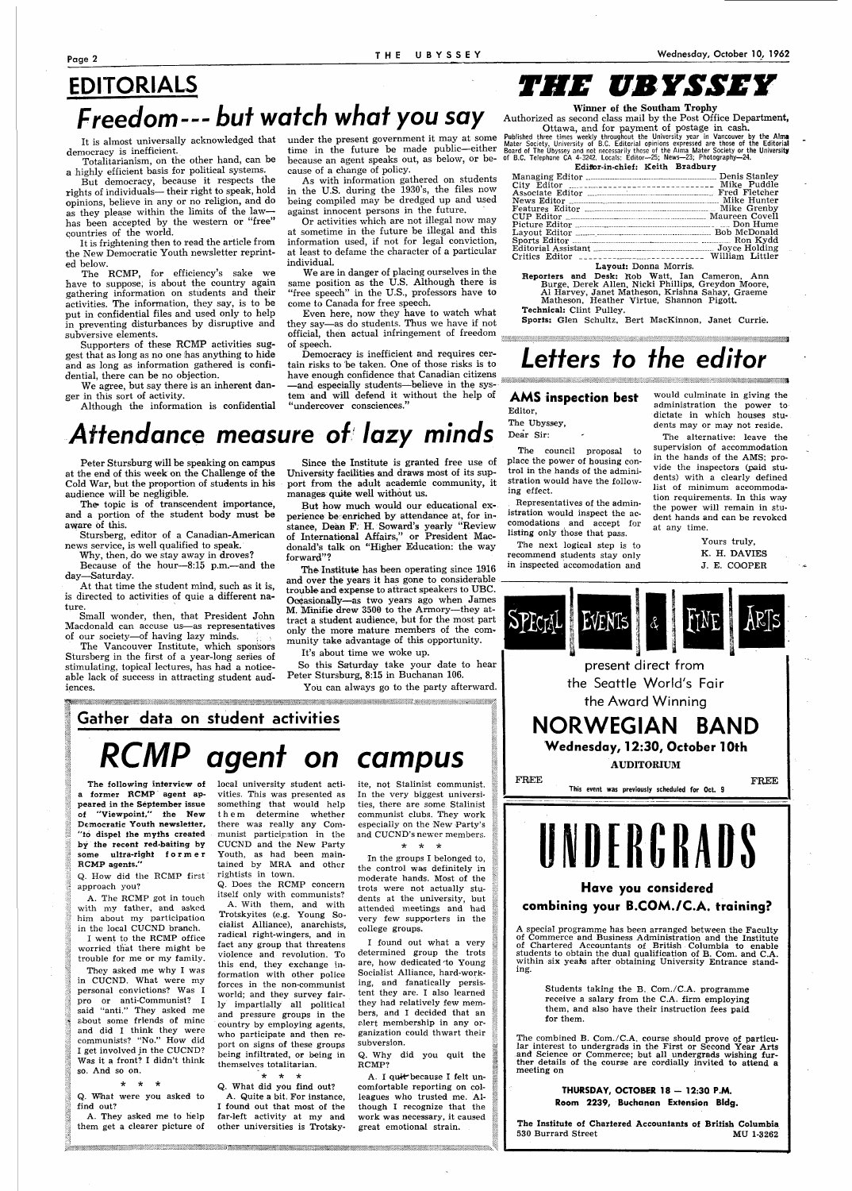### **EDITORIALS Freedom--- but watch what you say**

It is almost universally acknowledged that democracy is inefficient.

Totalitarianism, on the other hand, can be a highly efficient basis for political systems.

But democracy, because it respects the rights of individuals— their right to speak, hold opinions, believe in any or no religion, and do as they please within the limits of the law has been accepted by the western or "free" countries of the world.

It is frightening then to read the article from the New Democratic Youth newsletter reprinted below.

The RCMP, for efficiency's sake we have to suppose, is about the country again gathering information on students and their activities. The information, they say, is to be put in confidential files and used only to help in preventing disturbances by disruptive and subversive elements.

Supporters of these RCMP activities suggest that as long as no one has anything to hide and as long as information gathered is confidential, there can be no objection.

We agree, but say there is an inherent danger in this sort of activity.

Authorized as second class mail by the Post Office Department, Ottawa, and for payment of postage in cash.

Published three times weekly throughout the University year in Vancouver by the Alma<br>Mater Society, University of B.C. Editorial opinions expressed are those of the Editorial<br>Board of The Ubyssey and not necessarily those

Although the information is confidential

under the present government it may at some time in the future be made public—either because an agent speaks out, as below, or because of a Change of policy.

As with information gathered on students in the U.S. during the 1930's, the files now being compiled may be dredged up and used against innocent persons in the future.

Or activities which are not illegal now may at sometime in the future be illegal and this information used, if not for legal conviction, at least to defame the character of a particular individual.

We are in danger of placing ourselves in the same position as the U.S. Although there is "free speech" in the U.S., professors have to come to Canada for free speech.

The topic is of transcendent importance, and a portion of the student body must be aware of this.

Even here, now they have to watch what they say—as do students. Thus we have if not official, then actual infringement of freedom of speech.

At that time the student mind, such as it is, is directed to activities of quie a different nature

Democracy is inefficient and requires certain risks to be taken. One of those risks is to have enough confidence that Canadian citizens —and especially students—believe in the system and will defend it without the help of "undercover consciences."

## *THE UBYSSEY*

Winner of the Southam Trophy

| Edifor-in-chief: Keith Bradbury |  |
|---------------------------------|--|
|                                 |  |

| Editorial Assistant <sub>communitation</sub> continuum over Holding |  |
|---------------------------------------------------------------------|--|
| Critics Editor ___________________________ William Littler          |  |
|                                                                     |  |

Layout: Donna Morris.

Reporters and Desk: Rob Watt, Ian Cameron, Ann Burge, Derek Allen, Nicki Phillips, Greydon Moore, Al Harvey, Janet Matheson, Krishna Sahay, Graeme

Matheson, Heather Virtue, Shannon Pigott. Technical: Clint Pulley.

Sports: Glen Schultz, Bert MacKinnon, Janet Currie.

### **Letters to the editor**

## **Attendance measure of lazy minds**

Peter Stursburg will be speaking on campus at the end of this week on the Challenge of the Cold War, but the proportion of students in his audience will be negligible.

Stursberg, editor of a Canadian-American news service, is well qualified to speak.

Why, then, do we stay away in droves?

Because of the hour—8:15 p.m.—and the day—Saturday.

> A. I quit because I felt uncomfortable reporting on colleagues who trusted me. Although I recognize that the work was necessary, it caused great emotional strain.

Small wonder, then, that President John Macdonald can accuse us—as representatives of our society—of having lazy minds.

The Vancouver Institute, which sponsors Stursberg in the first of a year-long series of stimulating, topical lectures, has had a noticeable lack of success in attracting student audiences.

Since the Institute is granted free use of University facilities and draws most of its support from the adult academic community, it manages quite well without us.

> A special programme has been arranged between the Faculty of Commerce and Business Administration and the Institute of Chartered Accountants of British Columbia to enable students to obtain the dual qualification of B. Com. and CA. within six years after obtaining University Entrance standing.

But how much would our educational experience be enriched by attendance at, for instance, Dean F. H. Soward's yearly "Review of International Affairs," or President Macdonald's talk on "Higher Education: the way forward"?

The Institute has been operating since 1916 and over the years it has gone to considerable trouble and expense to attract speakers to UBC. Occasionally—as two years ago when James M. Minifie drew 3500 to the Armory—they attract a student audience, but for the most part only the more mature members of the community take advantage of this opportunity.

> The Institute of Chartered Accountants of British Columbia 530 Burrard Street MU 1-3262

It's about time we woke up.

So this Saturday take your date to hear Peter Stursburg, 8:15 in Buchanan 106.

You can always go to the party afterward.



The following interview of local university student actiformer RCMP agent appeared in the September issue "Viewpoint," the New Democratic Youth newsletter, "to dispel the myths created by the recent red-baiting by some ultra-righi forme r RCMP agents."

Q. How did the RCMP first approach you?

A. The RCMP got in touch with my father, and asked him about my participation in the local CUCND branch.

I went to the RCMP office worried that there might be trouble for me or my family.

They asked me why I was in CUCND. What were my personal convictions? Was I pro or anti-Communist? I said "anti." They asked me sbout some friends of mine and did I think they were communists? "No." How did I get involved in the CUCND? Was it a front? I didn't think so. And so on.

\* \* \*

Q. What were you asked to find out?

A. They asked me to help them get a clearer picture of

vities. This was presented as something that would help the m determine whether there was really any Communist participation in the CUCND and the New Party Youth, as had been maintained by MRA and other

rightists in town.

Q. Does the RCMP concern itself only with communists? A. With them, and with Trotskyites (e.g. Young Socialist Alliance), anarchists, radical right-wingers, and in fact any group that threatens violence and revolution. To this end, they exchange information with other police forces in the non-communist world; and they survey fairly impartially all political and pressure groups in the country by employing agents, who participate and then report on signs of these groups being infiltrated, or being in themselves totalitarian.

\* \* \*

Q. What did you find out? A. Quite a bit. For instance, I found out that most of the far-left activity at my and other universities is Trotsky-

je poznata za nastanom stanovni stanovni stanovni stanovni stanovni stanovni stanovni stanovni stanovni stanov

ite, not Stalinist communist. In the very biggest universities, there are some Stalinist communist clubs. They work especially on the New Party's and CUCND's newer members. \* \* \*

In the groups I belonged to, the control was definitely in moderate hands. Most of the trots were not actually students at the university, but attended meetings and had very few supporters in the college groups.

I found out what a very determined group the trots are, how dedicated'to Young Socialist Alliance, hard-working, and fanatically persistent they are. I also learned they had relatively few members, and I decided that an s.lert membership in any organization could thwart their subversion.

Q. Why did you quit the RCMP?

#### **AMS inspection best**

Editor,

The Ubyssey,

Dear Sir:



Representatives of the administration would inspect the accomodations and accept for listing only those that pass.

The next logical step is to recommend students stay only in inspected accomodation and would culminate in giving the administration the power to dictate in which houses students may or may not reside.

The alternative: leave the supervision of accommodation in the hands of the AMS; provide the inspectors (paid students) with a clearly defined list of minimum accommodation requirements. In this way the power will remain in student hands and can be revoked at any time.

> Yours truly, K. H. DAVIES J. E. COOPER



#### Have you considered combining your B.COM./C.A. training?

Students taking the B. Com./C.A. programme receive a salary from the C.A. firm employing them, and also have their instruction fees paid for them.

The combined B. Com./C.A. course should prove of particular interest to undergrads in the First or Second Year Arts and Science or Commerce; but all undergrads wishing further details of the course are cordially invited to attend a meeting on

#### **THURSDAY, OCTOBER 18 - 12:30 P.M.**

**Room 2239, Buchanan Extension Bldg.**